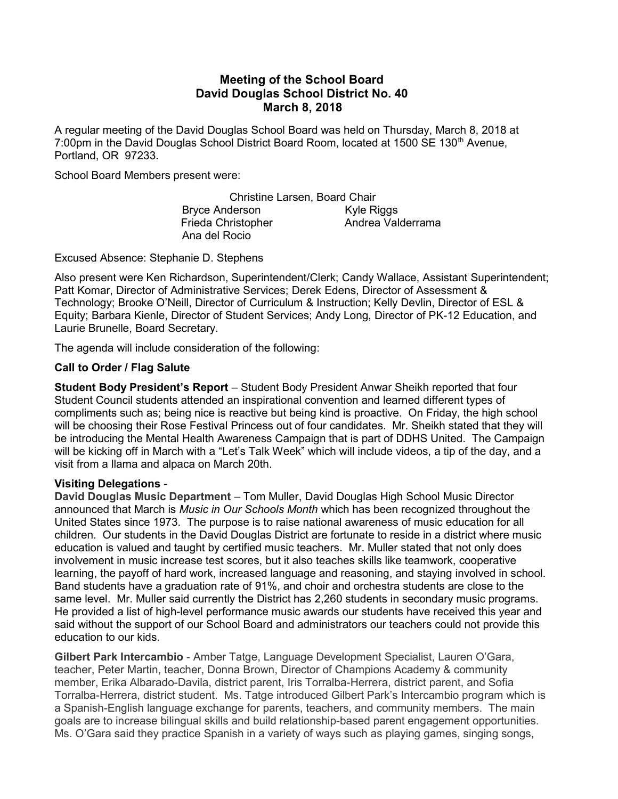# Meeting of the School Board David Douglas School District No. 40 March 8, 2018

A regular meeting of the David Douglas School Board was held on Thursday, March 8, 2018 at 7:00pm in the David Douglas School District Board Room, located at 1500 SE 130<sup>th</sup> Avenue, Portland, OR 97233.

School Board Members present were:

Christine Larsen, Board Chair Bryce Anderson Kyle Riggs Frieda Christopher **Andrea Valderrama** Ana del Rocio

Excused Absence: Stephanie D. Stephens

Also present were Ken Richardson, Superintendent/Clerk; Candy Wallace, Assistant Superintendent; Patt Komar, Director of Administrative Services; Derek Edens, Director of Assessment & Technology; Brooke O'Neill, Director of Curriculum & Instruction; Kelly Devlin, Director of ESL & Equity; Barbara Kienle, Director of Student Services; Andy Long, Director of PK-12 Education, and Laurie Brunelle, Board Secretary.

The agenda will include consideration of the following:

### Call to Order / Flag Salute

Student Body President's Report – Student Body President Anwar Sheikh reported that four Student Council students attended an inspirational convention and learned different types of compliments such as; being nice is reactive but being kind is proactive. On Friday, the high school will be choosing their Rose Festival Princess out of four candidates. Mr. Sheikh stated that they will be introducing the Mental Health Awareness Campaign that is part of DDHS United. The Campaign will be kicking off in March with a "Let's Talk Week" which will include videos, a tip of the day, and a visit from a llama and alpaca on March 20th.

## Visiting Delegations -

David Douglas Music Department – Tom Muller, David Douglas High School Music Director announced that March is Music in Our Schools Month which has been recognized throughout the United States since 1973. The purpose is to raise national awareness of music education for all children. Our students in the David Douglas District are fortunate to reside in a district where music education is valued and taught by certified music teachers. Mr. Muller stated that not only does involvement in music increase test scores, but it also teaches skills like teamwork, cooperative learning, the payoff of hard work, increased language and reasoning, and staying involved in school. Band students have a graduation rate of 91%, and choir and orchestra students are close to the same level. Mr. Muller said currently the District has 2,260 students in secondary music programs. He provided a list of high-level performance music awards our students have received this year and said without the support of our School Board and administrators our teachers could not provide this education to our kids.

Gilbert Park Intercambio - Amber Tatge, Language Development Specialist, Lauren O'Gara, teacher, Peter Martin, teacher, Donna Brown, Director of Champions Academy & community member, Erika Albarado-Davila, district parent, Iris Torralba-Herrera, district parent, and Sofia Torralba-Herrera, district student. Ms. Tatge introduced Gilbert Park's Intercambio program which is a Spanish-English language exchange for parents, teachers, and community members. The main goals are to increase bilingual skills and build relationship-based parent engagement opportunities. Ms. O'Gara said they practice Spanish in a variety of ways such as playing games, singing songs,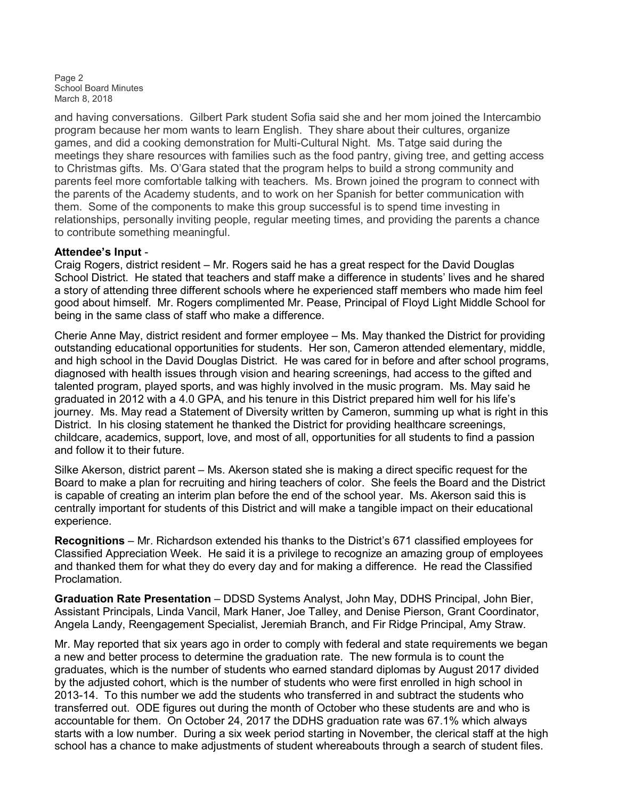Page 2 School Board Minutes March 8, 2018

and having conversations. Gilbert Park student Sofia said she and her mom joined the Intercambio program because her mom wants to learn English. They share about their cultures, organize games, and did a cooking demonstration for Multi-Cultural Night. Ms. Tatge said during the meetings they share resources with families such as the food pantry, giving tree, and getting access to Christmas gifts. Ms. O'Gara stated that the program helps to build a strong community and parents feel more comfortable talking with teachers. Ms. Brown joined the program to connect with the parents of the Academy students, and to work on her Spanish for better communication with them. Some of the components to make this group successful is to spend time investing in relationships, personally inviting people, regular meeting times, and providing the parents a chance to contribute something meaningful.

### Attendee's Input -

Craig Rogers, district resident – Mr. Rogers said he has a great respect for the David Douglas School District. He stated that teachers and staff make a difference in students' lives and he shared a story of attending three different schools where he experienced staff members who made him feel good about himself. Mr. Rogers complimented Mr. Pease, Principal of Floyd Light Middle School for being in the same class of staff who make a difference.

Cherie Anne May, district resident and former employee – Ms. May thanked the District for providing outstanding educational opportunities for students. Her son, Cameron attended elementary, middle, and high school in the David Douglas District. He was cared for in before and after school programs, diagnosed with health issues through vision and hearing screenings, had access to the gifted and talented program, played sports, and was highly involved in the music program. Ms. May said he graduated in 2012 with a 4.0 GPA, and his tenure in this District prepared him well for his life's journey. Ms. May read a Statement of Diversity written by Cameron, summing up what is right in this District. In his closing statement he thanked the District for providing healthcare screenings, childcare, academics, support, love, and most of all, opportunities for all students to find a passion and follow it to their future.

Silke Akerson, district parent – Ms. Akerson stated she is making a direct specific request for the Board to make a plan for recruiting and hiring teachers of color. She feels the Board and the District is capable of creating an interim plan before the end of the school year. Ms. Akerson said this is centrally important for students of this District and will make a tangible impact on their educational experience.

Recognitions – Mr. Richardson extended his thanks to the District's 671 classified employees for Classified Appreciation Week. He said it is a privilege to recognize an amazing group of employees and thanked them for what they do every day and for making a difference. He read the Classified Proclamation.

Graduation Rate Presentation – DDSD Systems Analyst, John May, DDHS Principal, John Bier, Assistant Principals, Linda Vancil, Mark Haner, Joe Talley, and Denise Pierson, Grant Coordinator, Angela Landy, Reengagement Specialist, Jeremiah Branch, and Fir Ridge Principal, Amy Straw.

Mr. May reported that six years ago in order to comply with federal and state requirements we began a new and better process to determine the graduation rate. The new formula is to count the graduates, which is the number of students who earned standard diplomas by August 2017 divided by the adjusted cohort, which is the number of students who were first enrolled in high school in 2013-14. To this number we add the students who transferred in and subtract the students who transferred out. ODE figures out during the month of October who these students are and who is accountable for them. On October 24, 2017 the DDHS graduation rate was 67.1% which always starts with a low number. During a six week period starting in November, the clerical staff at the high school has a chance to make adjustments of student whereabouts through a search of student files.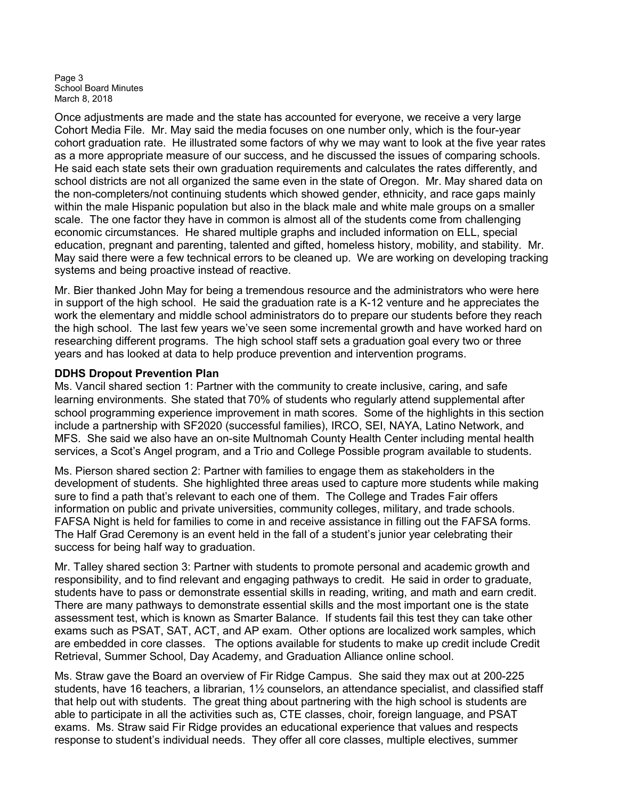Page 3 School Board Minutes March 8, 2018

Once adjustments are made and the state has accounted for everyone, we receive a very large Cohort Media File. Mr. May said the media focuses on one number only, which is the four-year cohort graduation rate. He illustrated some factors of why we may want to look at the five year rates as a more appropriate measure of our success, and he discussed the issues of comparing schools. He said each state sets their own graduation requirements and calculates the rates differently, and school districts are not all organized the same even in the state of Oregon. Mr. May shared data on the non-completers/not continuing students which showed gender, ethnicity, and race gaps mainly within the male Hispanic population but also in the black male and white male groups on a smaller scale. The one factor they have in common is almost all of the students come from challenging economic circumstances. He shared multiple graphs and included information on ELL, special education, pregnant and parenting, talented and gifted, homeless history, mobility, and stability. Mr. May said there were a few technical errors to be cleaned up. We are working on developing tracking systems and being proactive instead of reactive.

Mr. Bier thanked John May for being a tremendous resource and the administrators who were here in support of the high school. He said the graduation rate is a K-12 venture and he appreciates the work the elementary and middle school administrators do to prepare our students before they reach the high school. The last few years we've seen some incremental growth and have worked hard on researching different programs. The high school staff sets a graduation goal every two or three years and has looked at data to help produce prevention and intervention programs.

## DDHS Dropout Prevention Plan

Ms. Vancil shared section 1: Partner with the community to create inclusive, caring, and safe learning environments. She stated that 70% of students who regularly attend supplemental after school programming experience improvement in math scores. Some of the highlights in this section include a partnership with SF2020 (successful families), IRCO, SEI, NAYA, Latino Network, and MFS. She said we also have an on-site Multnomah County Health Center including mental health services, a Scot's Angel program, and a Trio and College Possible program available to students.

Ms. Pierson shared section 2: Partner with families to engage them as stakeholders in the development of students. She highlighted three areas used to capture more students while making sure to find a path that's relevant to each one of them. The College and Trades Fair offers information on public and private universities, community colleges, military, and trade schools. FAFSA Night is held for families to come in and receive assistance in filling out the FAFSA forms. The Half Grad Ceremony is an event held in the fall of a student's junior year celebrating their success for being half way to graduation.

Mr. Talley shared section 3: Partner with students to promote personal and academic growth and responsibility, and to find relevant and engaging pathways to credit. He said in order to graduate, students have to pass or demonstrate essential skills in reading, writing, and math and earn credit. There are many pathways to demonstrate essential skills and the most important one is the state assessment test, which is known as Smarter Balance. If students fail this test they can take other exams such as PSAT, SAT, ACT, and AP exam. Other options are localized work samples, which are embedded in core classes. The options available for students to make up credit include Credit Retrieval, Summer School, Day Academy, and Graduation Alliance online school.

Ms. Straw gave the Board an overview of Fir Ridge Campus. She said they max out at 200-225 students, have 16 teachers, a librarian, 1½ counselors, an attendance specialist, and classified staff that help out with students. The great thing about partnering with the high school is students are able to participate in all the activities such as, CTE classes, choir, foreign language, and PSAT exams. Ms. Straw said Fir Ridge provides an educational experience that values and respects response to student's individual needs. They offer all core classes, multiple electives, summer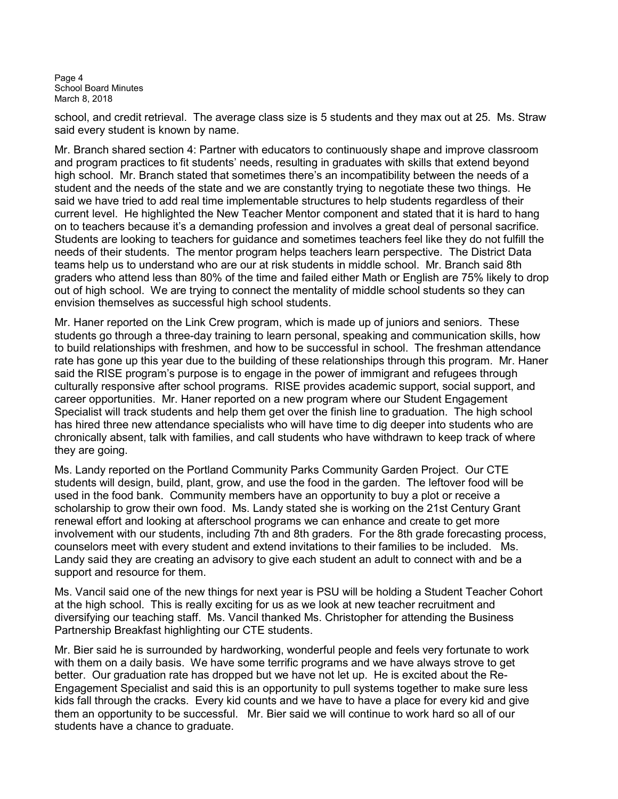Page 4 School Board Minutes March 8, 2018

school, and credit retrieval. The average class size is 5 students and they max out at 25. Ms. Straw said every student is known by name.

Mr. Branch shared section 4: Partner with educators to continuously shape and improve classroom and program practices to fit students' needs, resulting in graduates with skills that extend beyond high school. Mr. Branch stated that sometimes there's an incompatibility between the needs of a student and the needs of the state and we are constantly trying to negotiate these two things. He said we have tried to add real time implementable structures to help students regardless of their current level. He highlighted the New Teacher Mentor component and stated that it is hard to hang on to teachers because it's a demanding profession and involves a great deal of personal sacrifice. Students are looking to teachers for guidance and sometimes teachers feel like they do not fulfill the needs of their students. The mentor program helps teachers learn perspective. The District Data teams help us to understand who are our at risk students in middle school. Mr. Branch said 8th graders who attend less than 80% of the time and failed either Math or English are 75% likely to drop out of high school. We are trying to connect the mentality of middle school students so they can envision themselves as successful high school students.

Mr. Haner reported on the Link Crew program, which is made up of juniors and seniors. These students go through a three-day training to learn personal, speaking and communication skills, how to build relationships with freshmen, and how to be successful in school. The freshman attendance rate has gone up this year due to the building of these relationships through this program. Mr. Haner said the RISE program's purpose is to engage in the power of immigrant and refugees through culturally responsive after school programs. RISE provides academic support, social support, and career opportunities. Mr. Haner reported on a new program where our Student Engagement Specialist will track students and help them get over the finish line to graduation. The high school has hired three new attendance specialists who will have time to dig deeper into students who are chronically absent, talk with families, and call students who have withdrawn to keep track of where they are going.

Ms. Landy reported on the Portland Community Parks Community Garden Project. Our CTE students will design, build, plant, grow, and use the food in the garden. The leftover food will be used in the food bank. Community members have an opportunity to buy a plot or receive a scholarship to grow their own food. Ms. Landy stated she is working on the 21st Century Grant renewal effort and looking at afterschool programs we can enhance and create to get more involvement with our students, including 7th and 8th graders. For the 8th grade forecasting process, counselors meet with every student and extend invitations to their families to be included. Ms. Landy said they are creating an advisory to give each student an adult to connect with and be a support and resource for them.

Ms. Vancil said one of the new things for next year is PSU will be holding a Student Teacher Cohort at the high school. This is really exciting for us as we look at new teacher recruitment and diversifying our teaching staff. Ms. Vancil thanked Ms. Christopher for attending the Business Partnership Breakfast highlighting our CTE students.

Mr. Bier said he is surrounded by hardworking, wonderful people and feels very fortunate to work with them on a daily basis. We have some terrific programs and we have always strove to get better. Our graduation rate has dropped but we have not let up. He is excited about the Re-Engagement Specialist and said this is an opportunity to pull systems together to make sure less kids fall through the cracks. Every kid counts and we have to have a place for every kid and give them an opportunity to be successful. Mr. Bier said we will continue to work hard so all of our students have a chance to graduate.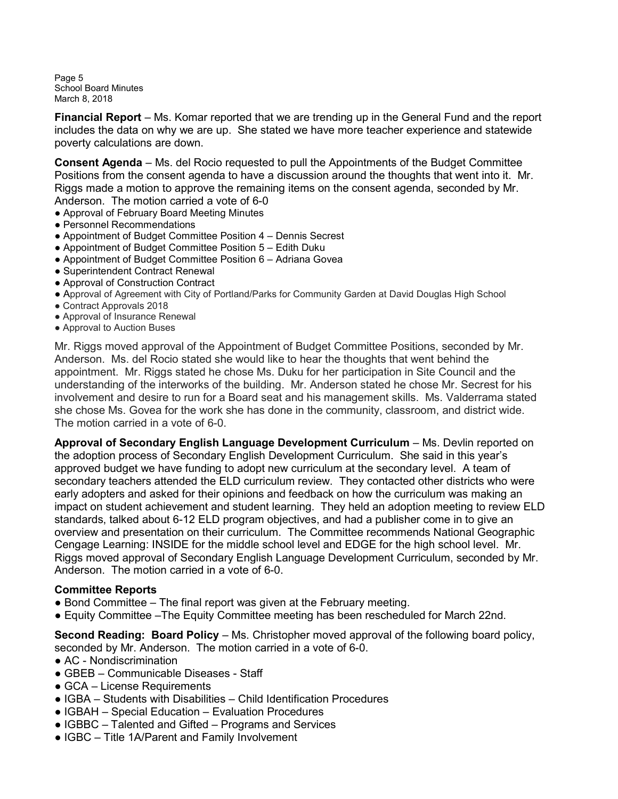Page 5 School Board Minutes March 8, 2018

**Financial Report** – Ms. Komar reported that we are trending up in the General Fund and the report includes the data on why we are up. She stated we have more teacher experience and statewide poverty calculations are down. İ

Consent Agenda – Ms. del Rocio requested to pull the Appointments of the Budget Committee Positions from the consent agenda to have a discussion around the thoughts that went into it. Mr. Riggs made a motion to approve the remaining items on the consent agenda, seconded by Mr. Anderson. The motion carried a vote of 6-0

- Approval of February Board Meeting Minutes
- Personnel Recommendations
- Appointment of Budget Committee Position 4 Dennis Secrest
- Appointment of Budget Committee Position 5 Edith Duku
- Appointment of Budget Committee Position 6 Adriana Govea
- Superintendent Contract Renewal
- Approval of Construction Contract
- Approval of Agreement with City of Portland/Parks for Community Garden at David Douglas High School
- Contract Approvals 2018
- Approval of Insurance Renewal
- Approval to Auction Buses

Mr. Riggs moved approval of the Appointment of Budget Committee Positions, seconded by Mr. Anderson. Ms. del Rocio stated she would like to hear the thoughts that went behind the appointment. Mr. Riggs stated he chose Ms. Duku for her participation in Site Council and the understanding of the interworks of the building. Mr. Anderson stated he chose Mr. Secrest for his involvement and desire to run for a Board seat and his management skills. Ms. Valderrama stated she chose Ms. Govea for the work she has done in the community, classroom, and district wide. The motion carried in a vote of 6-0.

Approval of Secondary English Language Development Curriculum – Ms. Devlin reported on the adoption process of Secondary English Development Curriculum. She said in this year's approved budget we have funding to adopt new curriculum at the secondary level. A team of secondary teachers attended the ELD curriculum review. They contacted other districts who were early adopters and asked for their opinions and feedback on how the curriculum was making an impact on student achievement and student learning. They held an adoption meeting to review ELD standards, talked about 6-12 ELD program objectives, and had a publisher come in to give an overview and presentation on their curriculum. The Committee recommends National Geographic Cengage Learning: INSIDE for the middle school level and EDGE for the high school level. Mr. Riggs moved approval of Secondary English Language Development Curriculum, seconded by Mr. Anderson. The motion carried in a vote of 6-0. Ĩ.

#### Committee Reports

- $\bullet$  Bond Committee The final report was given at the February meeting.
- Equity Committee –The Equity Committee meeting has been rescheduled for March 22nd.

Second Reading: Board Policy – Ms. Christopher moved approval of the following board policy, seconded by Mr. Anderson. The motion carried in a vote of 6-0.

- AC Nondiscrimination
- GBEB Communicable Diseases Staff
- GCA License Requirements
- IGBA Students with Disabilities Child Identification Procedures
- IGBAH Special Education Evaluation Procedures
- IGBBC Talented and Gifted Programs and Services
- IGBC Title 1A/Parent and Family Involvement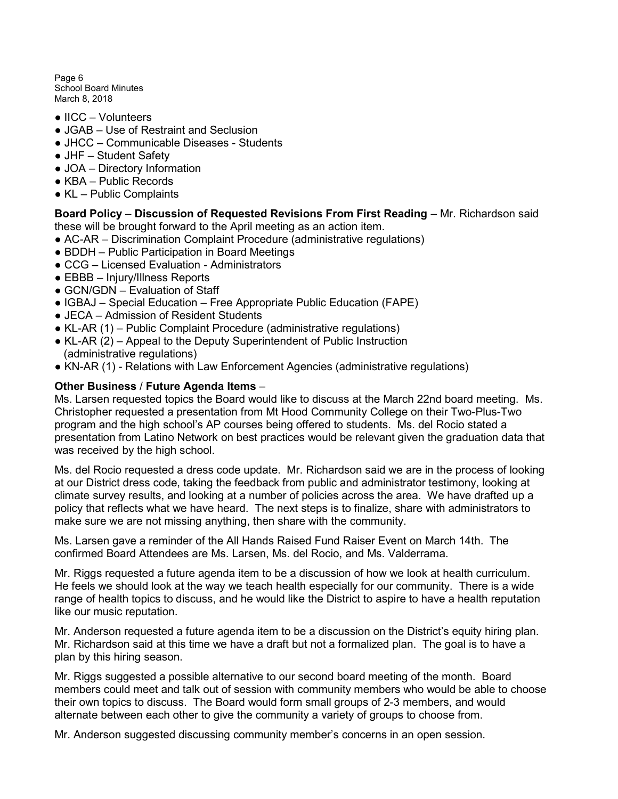Page 6 School Board Minutes March 8, 2018

- IICC Volunteers
- JGAB Use of Restraint and Seclusion
- JHCC Communicable Diseases Students
- JHF Student Safety
- JOA Directory Information
- KBA Public Records
- KL Public Complaints

Board Policy – Discussion of Requested Revisions From First Reading – Mr. Richardson said these will be brought forward to the April meeting as an action item.

- AC-AR Discrimination Complaint Procedure (administrative regulations)
- BDDH Public Participation in Board Meetings
- CCG Licensed Evaluation Administrators
- EBBB Injury/Illness Reports
- GCN/GDN Evaluation of Staff
- IGBAJ Special Education Free Appropriate Public Education (FAPE)
- JECA Admission of Resident Students
- KL-AR (1) Public Complaint Procedure (administrative regulations)
- KL-AR (2) Appeal to the Deputy Superintendent of Public Instruction (administrative regulations)
- KN-AR (1) Relations with Law Enforcement Agencies (administrative regulations)

## Other Business / Future Agenda Items –

Ms. Larsen requested topics the Board would like to discuss at the March 22nd board meeting. Ms. Christopher requested a presentation from Mt Hood Community College on their Two-Plus-Two program and the high school's AP courses being offered to students. Ms. del Rocio stated a presentation from Latino Network on best practices would be relevant given the graduation data that was received by the high school.

Ms. del Rocio requested a dress code update. Mr. Richardson said we are in the process of looking at our District dress code, taking the feedback from public and administrator testimony, looking at climate survey results, and looking at a number of policies across the area. We have drafted up a policy that reflects what we have heard. The next steps is to finalize, share with administrators to make sure we are not missing anything, then share with the community.

Ms. Larsen gave a reminder of the All Hands Raised Fund Raiser Event on March 14th. The confirmed Board Attendees are Ms. Larsen, Ms. del Rocio, and Ms. Valderrama.

Mr. Riggs requested a future agenda item to be a discussion of how we look at health curriculum. He feels we should look at the way we teach health especially for our community. There is a wide range of health topics to discuss, and he would like the District to aspire to have a health reputation like our music reputation.

Mr. Anderson requested a future agenda item to be a discussion on the District's equity hiring plan. Mr. Richardson said at this time we have a draft but not a formalized plan. The goal is to have a plan by this hiring season.

Mr. Riggs suggested a possible alternative to our second board meeting of the month. Board members could meet and talk out of session with community members who would be able to choose their own topics to discuss. The Board would form small groups of 2-3 members, and would alternate between each other to give the community a variety of groups to choose from.

Mr. Anderson suggested discussing community member's concerns in an open session.